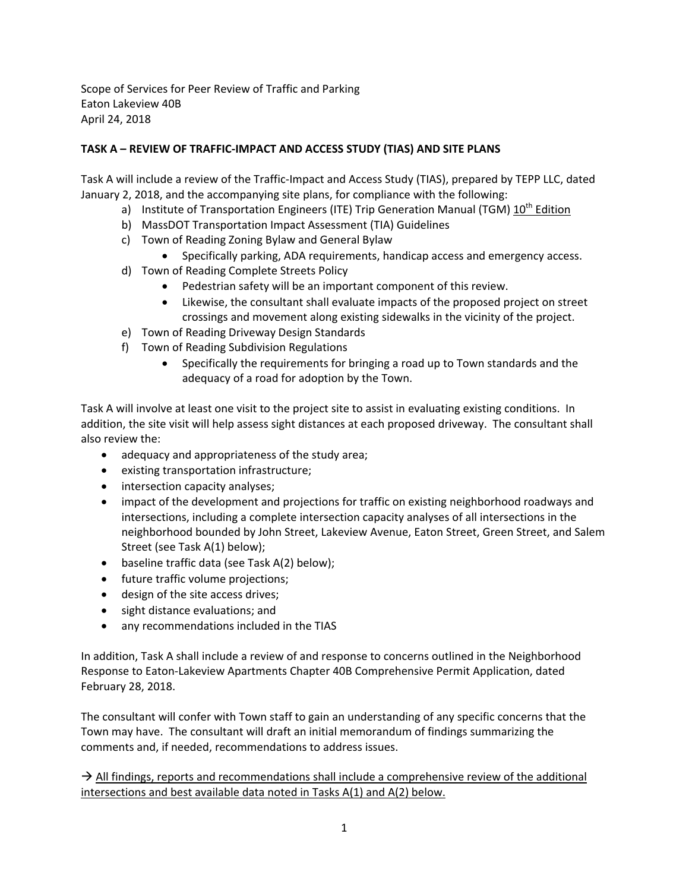Scope of Services for Peer Review of Traffic and Parking Eaton Lakeview 40B April 24, 2018

## **TASK A – REVIEW OF TRAFFIC‐IMPACT AND ACCESS STUDY (TIAS) AND SITE PLANS**

Task A will include a review of the Traffic‐Impact and Access Study (TIAS), prepared by TEPP LLC, dated January 2, 2018, and the accompanying site plans, for compliance with the following:

- a) Institute of Transportation Engineers (ITE) Trip Generation Manual (TGM) 10<sup>th</sup> Edition
- b) MassDOT Transportation Impact Assessment (TIA) Guidelines
- c) Town of Reading Zoning Bylaw and General Bylaw
	- Specifically parking, ADA requirements, handicap access and emergency access.
- d) Town of Reading Complete Streets Policy
	- Pedestrian safety will be an important component of this review.
	- Likewise, the consultant shall evaluate impacts of the proposed project on street crossings and movement along existing sidewalks in the vicinity of the project.
- e) Town of Reading Driveway Design Standards
- f) Town of Reading Subdivision Regulations
	- Specifically the requirements for bringing a road up to Town standards and the adequacy of a road for adoption by the Town.

Task A will involve at least one visit to the project site to assist in evaluating existing conditions. In addition, the site visit will help assess sight distances at each proposed driveway. The consultant shall also review the:

- adequacy and appropriateness of the study area;
- existing transportation infrastructure;
- intersection capacity analyses;
- impact of the development and projections for traffic on existing neighborhood roadways and intersections, including a complete intersection capacity analyses of all intersections in the neighborhood bounded by John Street, Lakeview Avenue, Eaton Street, Green Street, and Salem Street (see Task A(1) below);
- baseline traffic data (see Task A(2) below);
- future traffic volume projections;
- design of the site access drives;
- sight distance evaluations; and
- any recommendations included in the TIAS

In addition, Task A shall include a review of and response to concerns outlined in the Neighborhood Response to Eaton‐Lakeview Apartments Chapter 40B Comprehensive Permit Application, dated February 28, 2018.

The consultant will confer with Town staff to gain an understanding of any specific concerns that the Town may have. The consultant will draft an initial memorandum of findings summarizing the comments and, if needed, recommendations to address issues.

 $\rightarrow$  All findings, reports and recommendations shall include a comprehensive review of the additional intersections and best available data noted in Tasks A(1) and A(2) below.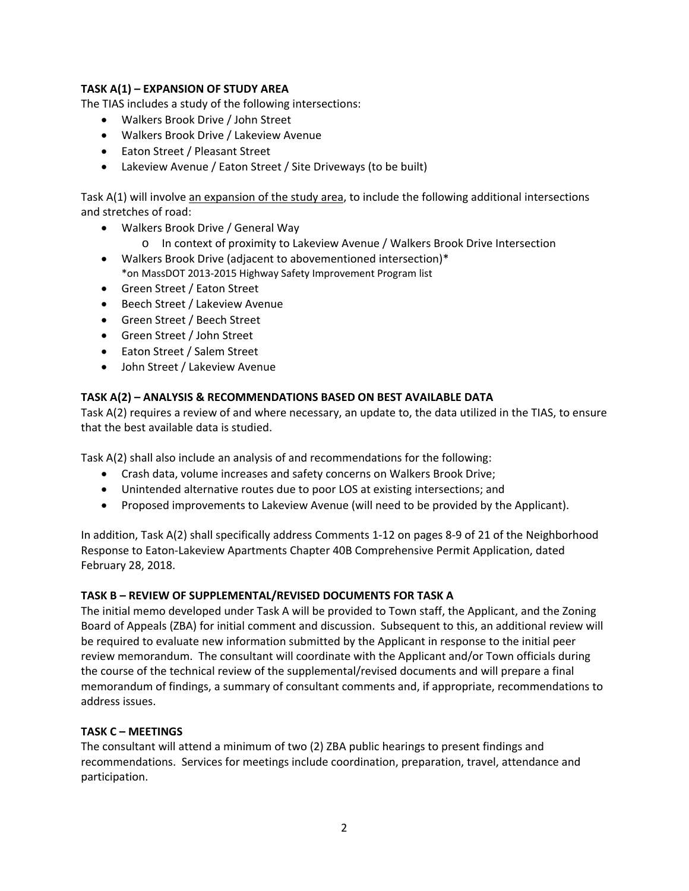# **TASK A(1) – EXPANSION OF STUDY AREA**

The TIAS includes a study of the following intersections:

- Walkers Brook Drive / John Street
- Walkers Brook Drive / Lakeview Avenue
- Eaton Street / Pleasant Street
- Lakeview Avenue / Eaton Street / Site Driveways (to be built)

Task A(1) will involve an expansion of the study area, to include the following additional intersections and stretches of road:

- Walkers Brook Drive / General Way
	- o In context of proximity to Lakeview Avenue / Walkers Brook Drive Intersection
- Walkers Brook Drive (adjacent to abovementioned intersection)\* \*on MassDOT 2013‐2015 Highway Safety Improvement Program list
- Green Street / Eaton Street
- Beech Street / Lakeview Avenue
- Green Street / Beech Street
- Green Street / John Street
- Eaton Street / Salem Street
- John Street / Lakeview Avenue

## **TASK A(2) – ANALYSIS & RECOMMENDATIONS BASED ON BEST AVAILABLE DATA**

Task A(2) requires a review of and where necessary, an update to, the data utilized in the TIAS, to ensure that the best available data is studied.

Task A(2) shall also include an analysis of and recommendations for the following:

- Crash data, volume increases and safety concerns on Walkers Brook Drive;
- Unintended alternative routes due to poor LOS at existing intersections; and
- Proposed improvements to Lakeview Avenue (will need to be provided by the Applicant).

In addition, Task A(2) shall specifically address Comments 1‐12 on pages 8‐9 of 21 of the Neighborhood Response to Eaton‐Lakeview Apartments Chapter 40B Comprehensive Permit Application, dated February 28, 2018.

## **TASK B – REVIEW OF SUPPLEMENTAL/REVISED DOCUMENTS FOR TASK A**

The initial memo developed under Task A will be provided to Town staff, the Applicant, and the Zoning Board of Appeals (ZBA) for initial comment and discussion. Subsequent to this, an additional review will be required to evaluate new information submitted by the Applicant in response to the initial peer review memorandum. The consultant will coordinate with the Applicant and/or Town officials during the course of the technical review of the supplemental/revised documents and will prepare a final memorandum of findings, a summary of consultant comments and, if appropriate, recommendations to address issues.

## **TASK C – MEETINGS**

The consultant will attend a minimum of two (2) ZBA public hearings to present findings and recommendations. Services for meetings include coordination, preparation, travel, attendance and participation.